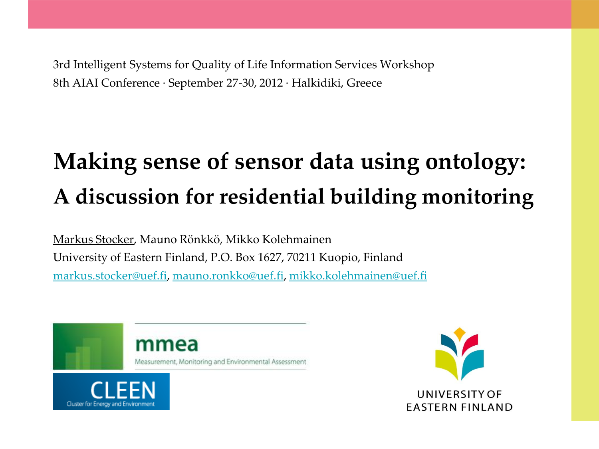3rd Intelligent Systems for Quality of Life Information Services Workshop 8th AIAI Conference · September 27-30, 2012 · Halkidiki, Greece

# **Making sense of sensor data using ontology: A discussion for residential building monitoring**

Markus Stocker, Mauno Rönkkö, Mikko Kolehmainen University of Eastern Finland, P.O. Box 1627, 70211 Kuopio, Finland [markus.stocker@uef.fi,](mailto:markus.stocker@uef.fi) [mauno.ronkko@uef.fi](mailto:mauno.ronkko@uef.fi), [mikko.kolehmainen@uef.fi](mailto:mikko.kolehmainen@uef.fi)



Cluster for Energy and Environme

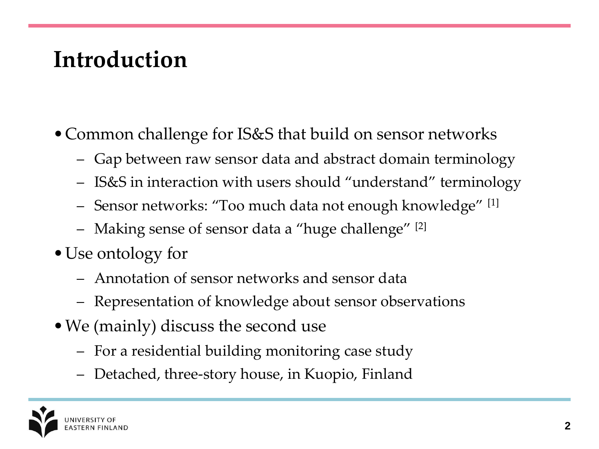## **Introduction**

- •Common challenge for IS&S that build on sensor networks
	- Gap between raw sensor data and abstract domain terminology
	- IS&S in interaction with users should "understand" terminology
	- Sensor networks: "Too much data not enough knowledge" [1]
	- Making sense of sensor data a "huge challenge" [2]
- Use ontology for
	- Annotation of sensor networks and sensor data
	- Representation of knowledge about sensor observations
- We (mainly) discuss the second use
	- For a residential building monitoring case study
	- Detached, three-story house, in Kuopio, Finland

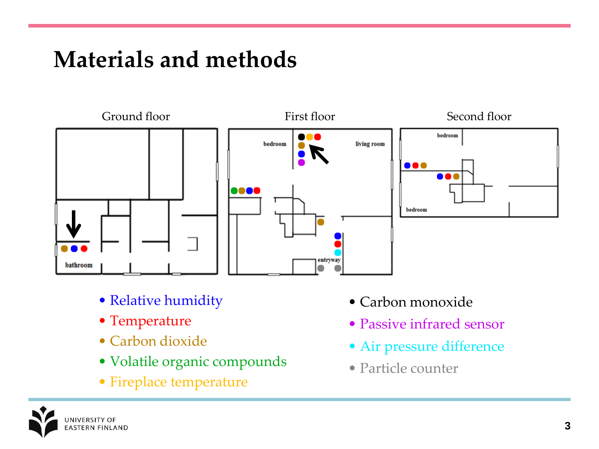## **Materials and methods**



- Relative humidity
- Temperature
- Carbon dioxide
- Volatile organic compounds
- Fireplace temperature
- Carbon monoxide
- Passive infrared sensor
- Air pressure difference
- Particle counter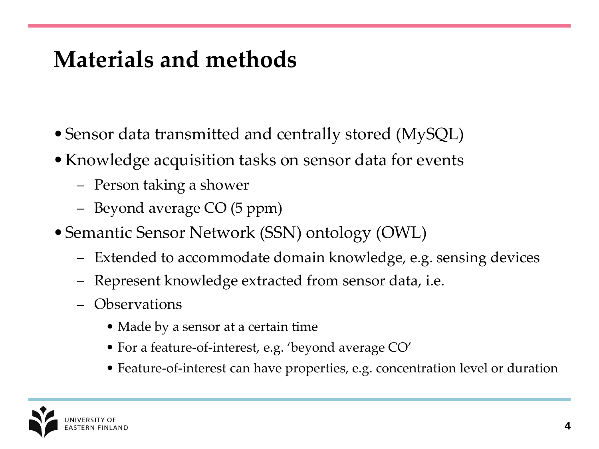### **Materials and methods**

- Sensor data transmitted and centrally stored (MySQL)
- Knowledge acquisition tasks on sensor data for events
	- Person taking a shower
	- Beyond average CO (5 ppm)
- Semantic Sensor Network (SSN) ontology (OWL)
	- Extended to accommodate domain knowledge, e.g. sensing devices
	- Represent knowledge extracted from sensor data, i.e.
	- Observations
		- Made by a sensor at a certain time
		- For a feature-of-interest, e.g. 'beyond average CO'
		- Feature-of-interest can have properties, e.g. concentration level or duration

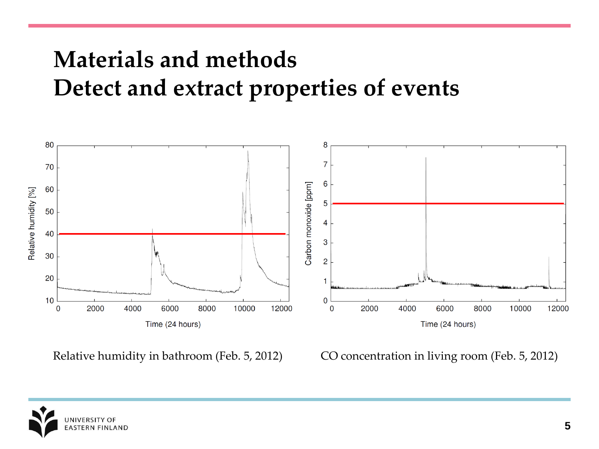#### **Materials and methods Detect and extract properties of events**



Relative humidity in bathroom (Feb. 5, 2012) CO concentration in living room (Feb. 5, 2012)

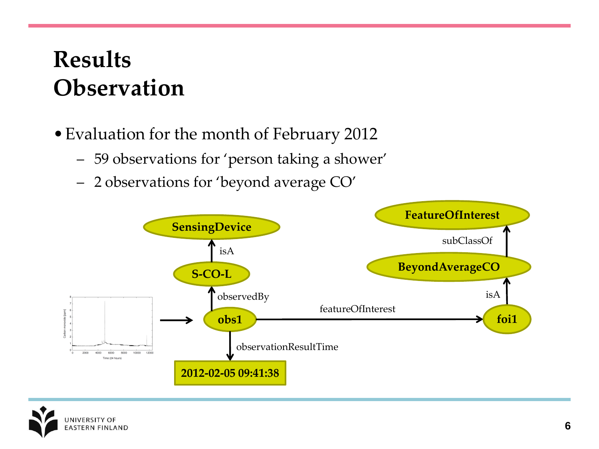## **Results Observation**

- •Evaluation for the month of February 2012
	- 59 observations for 'person taking a shower'
	- 2 observations for 'beyond average CO'



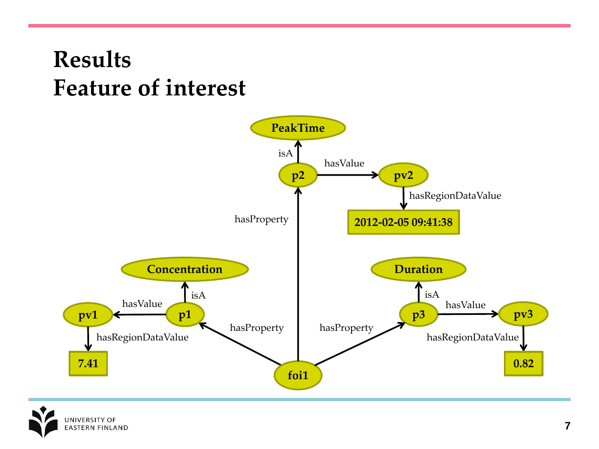#### **Results Feature of interest**



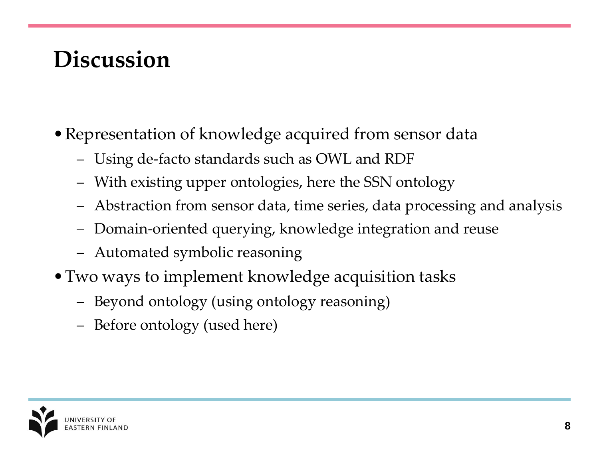## **Discussion**

- Representation of knowledge acquired from sensor data
	- Using de-facto standards such as OWL and RDF
	- With existing upper ontologies, here the SSN ontology
	- Abstraction from sensor data, time series, data processing and analysis
	- Domain-oriented querying, knowledge integration and reuse
	- Automated symbolic reasoning
- Two ways to implement knowledge acquisition tasks
	- Beyond ontology (using ontology reasoning)
	- Before ontology (used here)

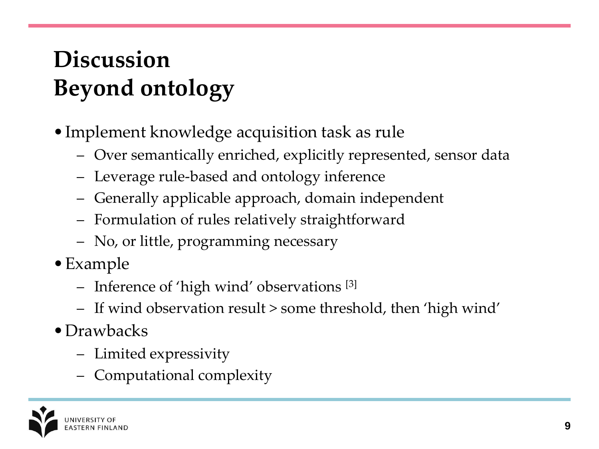## **Discussion Beyond ontology**

- Implement knowledge acquisition task as rule
	- Over semantically enriched, explicitly represented, sensor data
	- Leverage rule-based and ontology inference
	- Generally applicable approach, domain independent
	- Formulation of rules relatively straightforward
	- No, or little, programming necessary
- •Example
	- Inference of 'high wind' observations [3]
	- If wind observation result > some threshold, then 'high wind'
- Drawbacks
	- Limited expressivity
	- Computational complexity

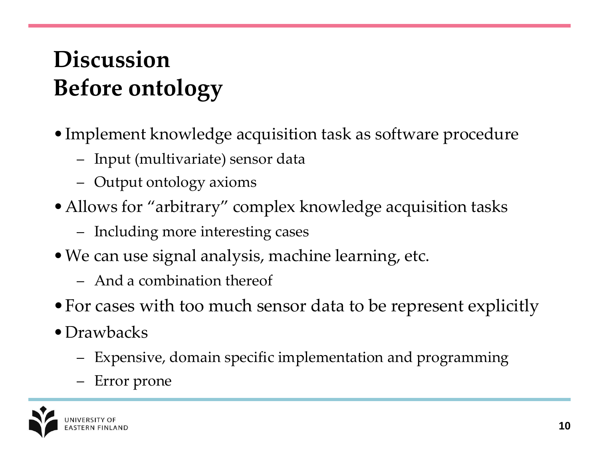## **Discussion Before ontology**

- •Implement knowledge acquisition task as software procedure
	- Input (multivariate) sensor data
	- Output ontology axioms
- Allows for "arbitrary" complex knowledge acquisition tasks
	- Including more interesting cases
- •We can use signal analysis, machine learning, etc.
	- And a combination thereof
- •For cases with too much sensor data to be represent explicitly
- Drawbacks
	- Expensive, domain specific implementation and programming
	- Error prone

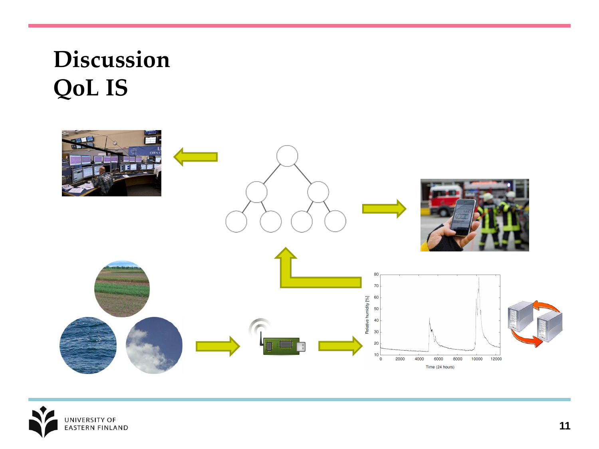## **Discussion QoL IS**



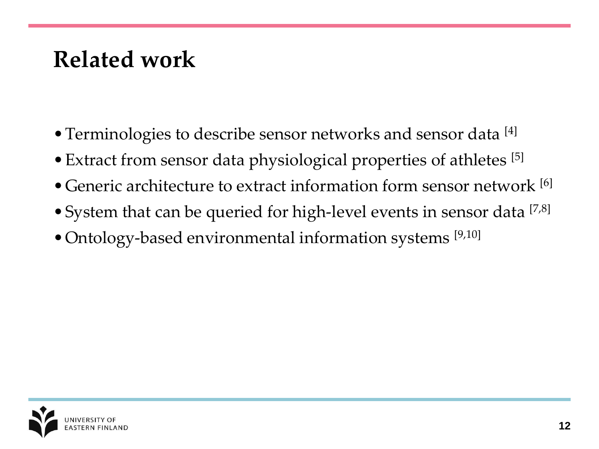#### **Related work**

- Terminologies to describe sensor networks and sensor data [4]
- Extract from sensor data physiological properties of athletes [5]
- Generic architecture to extract information form sensor network [6]
- System that can be queried for high-level events in sensor data [7,8]
- Ontology-based environmental information systems [9,10]

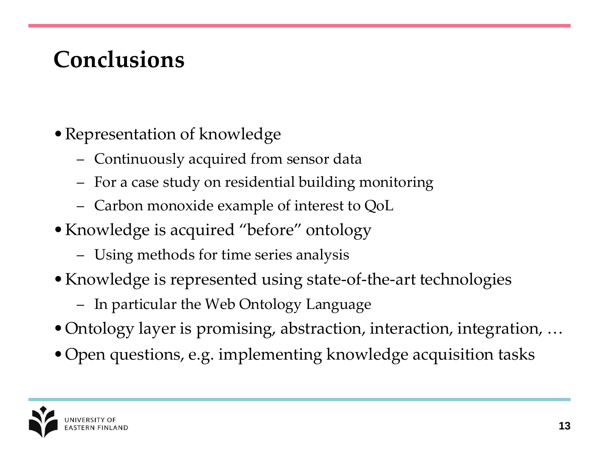## **Conclusions**

- •Representation of knowledge
	- Continuously acquired from sensor data
	- For a case study on residential building monitoring
	- Carbon monoxide example of interest to QoL
- Knowledge is acquired "before" ontology
	- Using methods for time series analysis
- Knowledge is represented using state-of-the-art technologies
	- In particular the Web Ontology Language
- Ontology layer is promising, abstraction, interaction, integration, ...
- •Open questions, e.g. implementing knowledge acquisition tasks

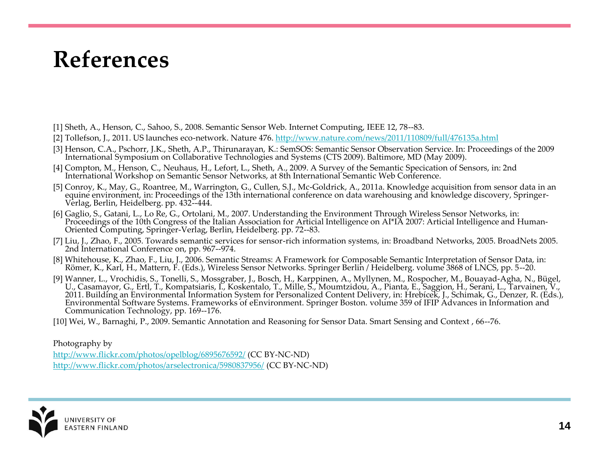#### **References**

- [1] Sheth, A., Henson, C., Sahoo, S., 2008. Semantic Sensor Web. Internet Computing, IEEE 12, 78--83.
- [2] Tollefson, J., 2011. US launches eco-network. Nature 476.<http://www.nature.com/news/2011/110809/full/476135a.html>
- [3] Henson, C.A., Pschorr, J.K., Sheth, A.P., Thirunarayan, K.: SemSOS: Semantic Sensor Observation Service. In: Proceedings of the 2009 International Symposium on Collaborative Technologies and Systems (CTS 2009). Baltimore, MD (May 2009).
- [4] Compton, M., Henson, C., Neuhaus, H., Lefort, L., Sheth, A., 2009. A Survey of the Semantic Specication of Sensors, in: 2nd International Workshop on Semantic Sensor Networks, at 8th International Semantic Web Conference.
- [5] Conroy, K., May, G., Roantree, M., Warrington, G., Cullen, S.J., Mc-Goldrick, A., 2011a. Knowledge acquisition from sensor data in an equine environment, in: Proceedings of the 13th international conference on data warehousing and knowledge discovery, Springer-Verlag, Berlin, Heidelberg. pp. 432--444.
- [6] Gaglio, S., Gatani, L., Lo Re, G., Ortolani, M., 2007. Understanding the Environment Through Wireless Sensor Networks, in: Proceedings of the 10th Congress of the Italian Association for Articial Intelligence on AI\*IA 2007: Articial Intelligence and Human-Oriented Computing, Springer-Verlag, Berlin, Heidelberg. pp. 72--83.
- [7] Liu, J., Zhao, F., 2005. Towards semantic services for sensor-rich information systems, in: Broadband Networks, 2005. BroadNets 2005. 2nd International Conference on, pp. 967--974.
- [8] Whitehouse, K., Zhao, F., Liu, J., 2006. Semantic Streams: A Framework for Composable Semantic Interpretation of Sensor Data, in: Römer, K., Karl, H., Mattern, F. (Eds.), Wireless Sensor Networks. Springer Berlin / Heidelberg. volume 3868 of LNCS, pp. 5--20.
- [9] Wanner, L., Vrochidis, S., Tonelli, S., Mossgraber, J., Bosch, H., Karppinen, A., Myllynen, M., Rospocher, M., Bouayad-Agha, N., Bügel, U., Casamayor, G., Ertl, T., Kompatsiaris, I., Koskentalo, T., Mille, S., Moumtzidou, A., Pianta, E., Saggion, H., Serani, L., Tarvainen, V., 2011. Building an Environmental Information System for Personalized Content Delivery, in: Hrebícek, J., Schimak, G., Denzer, R. (Eds.), Environmental Software Systems. Frameworks of eEnvironment. Springer Boston. volume 359 of IFIP Advances in Information and Communication Technology, pp. 169--176.
- [10] Wei, W., Barnaghi, P., 2009. Semantic Annotation and Reasoning for Sensor Data. Smart Sensing and Context , 66--76.

#### Photography b[y](http://www.flickr.com/photos/opelblog/6895676592/)

<http://www.flickr.com/photos/opelblog/6895676592/> (CC BY-NC-ND) <http://www.flickr.com/photos/arselectronica/5980837956/> (CC BY-NC-ND)

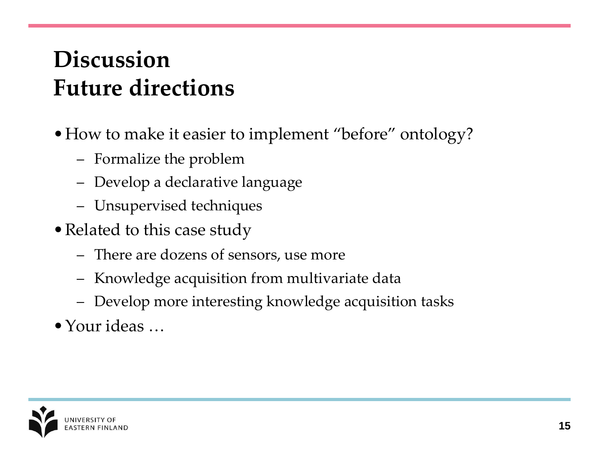#### **Discussion Future directions**

- How to make it easier to implement "before" ontology?
	- Formalize the problem
	- Develop a declarative language
	- Unsupervised techniques
- Related to this case study
	- There are dozens of sensors, use more
	- Knowledge acquisition from multivariate data
	- Develop more interesting knowledge acquisition tasks
- •Your ideas …